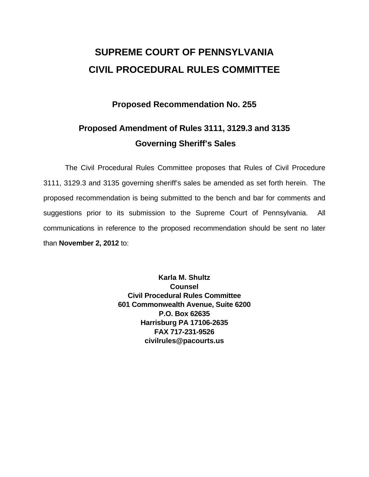# **SUPREME COURT OF PENNSYLVANIA CIVIL PROCEDURAL RULES COMMITTEE**

## **Proposed Recommendation No. 255**

## **Proposed Amendment of Rules 3111, 3129.3 and 3135 Governing Sheriff's Sales**

 The Civil Procedural Rules Committee proposes that Rules of Civil Procedure 3111, 3129.3 and 3135 governing sheriff's sales be amended as set forth herein. The proposed recommendation is being submitted to the bench and bar for comments and suggestions prior to its submission to the Supreme Court of Pennsylvania. All communications in reference to the proposed recommendation should be sent no later than **November 2, 2012** to:

> **Karla M. Shultz Counsel Civil Procedural Rules Committee 601 Commonwealth Avenue, Suite 6200 P.O. Box 62635 Harrisburg PA 17106-2635 FAX 717-231-9526 civilrules@pacourts.us**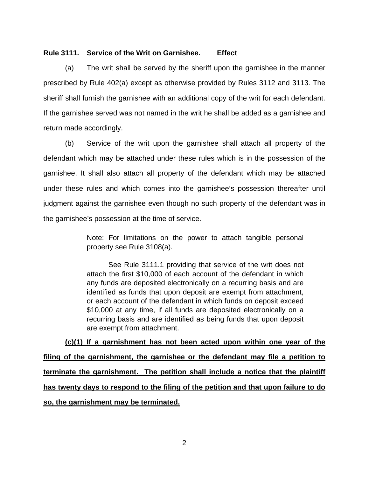#### **Rule 3111. Service of the Writ on Garnishee. Effect**

 (a) The writ shall be served by the sheriff upon the garnishee in the manner prescribed by Rule 402(a) except as otherwise provided by Rules 3112 and 3113. The sheriff shall furnish the garnishee with an additional copy of the writ for each defendant. If the garnishee served was not named in the writ he shall be added as a garnishee and return made accordingly.

(b) Service of the writ upon the garnishee shall attach all property of the defendant which may be attached under these rules which is in the possession of the garnishee. It shall also attach all property of the defendant which may be attached under these rules and which comes into the garnishee's possession thereafter until judgment against the garnishee even though no such property of the defendant was in the garnishee's possession at the time of service.

> Note: For limitations on the power to attach tangible personal property see Rule 3108(a).

> See Rule 3111.1 providing that service of the writ does not attach the first \$10,000 of each account of the defendant in which any funds are deposited electronically on a recurring basis and are identified as funds that upon deposit are exempt from attachment, or each account of the defendant in which funds on deposit exceed \$10,000 at any time, if all funds are deposited electronically on a recurring basis and are identified as being funds that upon deposit are exempt from attachment.

**(c)(1) If a garnishment has not been acted upon within one year of the filing of the garnishment, the garnishee or the defendant may file a petition to terminate the garnishment. The petition shall include a notice that the plaintiff has twenty days to respond to the filing of the petition and that upon failure to do so, the garnishment may be terminated.**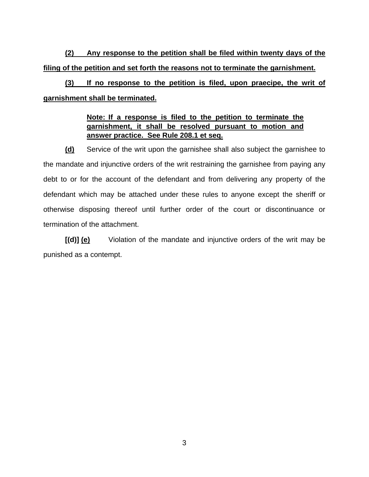**(2) Any response to the petition shall be filed within twenty days of the filing of the petition and set forth the reasons not to terminate the garnishment.** 

**(3) If no response to the petition is filed, upon praecipe, the writ of garnishment shall be terminated.** 

#### **Note: If a response is filed to the petition to terminate the garnishment, it shall be resolved pursuant to motion and answer practice. See Rule 208.1 et seq.**

**(d)** Service of the writ upon the garnishee shall also subject the garnishee to the mandate and injunctive orders of the writ restraining the garnishee from paying any debt to or for the account of the defendant and from delivering any property of the defendant which may be attached under these rules to anyone except the sheriff or otherwise disposing thereof until further order of the court or discontinuance or termination of the attachment.

**[(d)] (e)** Violation of the mandate and injunctive orders of the writ may be punished as a contempt.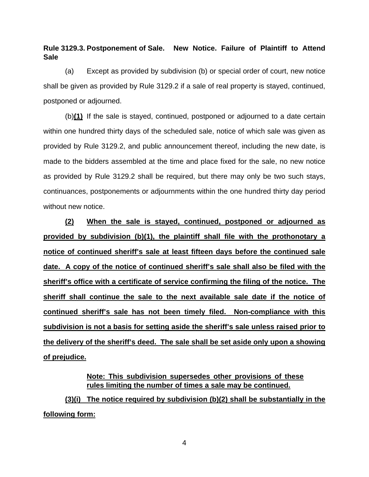**Rule 3129.3. Postponement of Sale. New Notice. Failure of Plaintiff to Attend Sale** 

 (a) Except as provided by subdivision (b) or special order of court, new notice shall be given as provided by Rule 3129.2 if a sale of real property is stayed, continued, postponed or adjourned.

 (b)**(1)** If the sale is stayed, continued, postponed or adjourned to a date certain within one hundred thirty days of the scheduled sale, notice of which sale was given as provided by Rule 3129.2, and public announcement thereof, including the new date, is made to the bidders assembled at the time and place fixed for the sale, no new notice as provided by Rule 3129.2 shall be required, but there may only be two such stays, continuances, postponements or adjournments within the one hundred thirty day period without new notice.

**(2) When the sale is stayed, continued, postponed or adjourned as provided by subdivision (b)(1), the plaintiff shall file with the prothonotary a notice of continued sheriff's sale at least fifteen days before the continued sale date. A copy of the notice of continued sheriff's sale shall also be filed with the sheriff's office with a certificate of service confirming the filing of the notice. The sheriff shall continue the sale to the next available sale date if the notice of continued sheriff's sale has not been timely filed. Non-compliance with this subdivision is not a basis for setting aside the sheriff's sale unless raised prior to the delivery of the sheriff's deed. The sale shall be set aside only upon a showing of prejudice.** 

> **Note: This subdivision supersedes other provisions of these rules limiting the number of times a sale may be continued.**

**(3)(i) The notice required by subdivision (b)(2) shall be substantially in the following form:** 

4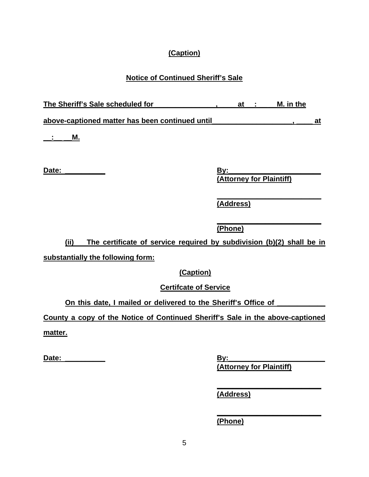## **(Caption)**

## **Notice of Continued Sheriff's Sale**

| The Sheriff's Sale scheduled for                | at | M. in the |  |
|-------------------------------------------------|----|-----------|--|
| above-captioned matter has been continued until |    |           |  |
| М.                                              |    |           |  |

**Date: \_\_\_\_\_\_\_\_\_\_ By:\_\_\_\_\_\_\_\_\_\_\_\_\_\_\_\_\_\_\_\_\_\_\_ (Attorney for Plaintiff)** 

> **\_\_\_\_\_\_\_\_\_\_\_\_\_\_\_\_\_\_\_\_\_\_\_\_\_\_ (Address)**

 **\_\_\_\_\_\_\_\_\_\_\_\_\_\_\_\_\_\_\_\_\_\_\_\_\_\_ (Phone)** 

**(ii) The certificate of service required by subdivision (b)(2) shall be in** 

**substantially the following form:** 

**(Caption)** 

**Certifcate of Service** 

On this date, I mailed or delivered to the Sheriff's Office of

**County a copy of the Notice of Continued Sheriff's Sale in the above-captioned matter.** 

**Date: \_\_\_\_\_\_\_\_\_\_ By:\_\_\_\_\_\_\_\_\_\_\_\_\_\_\_\_\_\_\_\_\_\_\_\_ (Attorney for Plaintiff)** 

 **(Address)** 

 **(Phone)** 

 **\_\_\_\_\_\_\_\_\_\_\_\_\_\_\_\_\_\_\_\_\_\_\_\_\_\_** 

 **\_\_\_\_\_\_\_\_\_\_\_\_\_\_\_\_\_\_\_\_\_\_\_\_\_\_**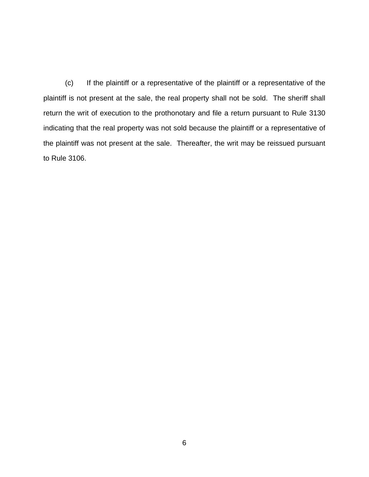(c) If the plaintiff or a representative of the plaintiff or a representative of the plaintiff is not present at the sale, the real property shall not be sold. The sheriff shall return the writ of execution to the prothonotary and file a return pursuant to Rule 3130 indicating that the real property was not sold because the plaintiff or a representative of the plaintiff was not present at the sale. Thereafter, the writ may be reissued pursuant to Rule 3106.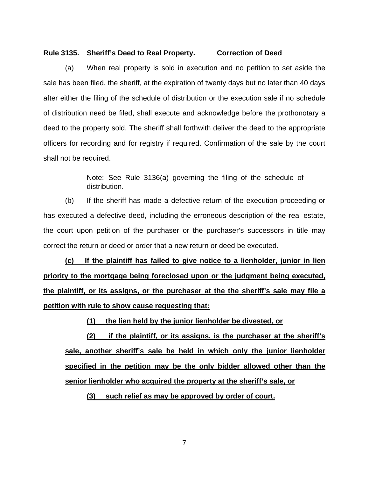#### **Rule 3135. Sheriff's Deed to Real Property. Correction of Deed**

(a) When real property is sold in execution and no petition to set aside the sale has been filed, the sheriff, at the expiration of twenty days but no later than 40 days after either the filing of the schedule of distribution or the execution sale if no schedule of distribution need be filed, shall execute and acknowledge before the prothonotary a deed to the property sold. The sheriff shall forthwith deliver the deed to the appropriate officers for recording and for registry if required. Confirmation of the sale by the court shall not be required.

> Note: See Rule 3136(a) governing the filing of the schedule of distribution.

(b) If the sheriff has made a defective return of the execution proceeding or has executed a defective deed, including the erroneous description of the real estate, the court upon petition of the purchaser or the purchaser's successors in title may correct the return or deed or order that a new return or deed be executed.

**(c) If the plaintiff has failed to give notice to a lienholder, junior in lien priority to the mortgage being foreclosed upon or the judgment being executed, the plaintiff, or its assigns, or the purchaser at the the sheriff's sale may file a petition with rule to show cause requesting that:** 

**(1) the lien held by the junior lienholder be divested, or** 

**(2) if the plaintiff, or its assigns, is the purchaser at the sheriff's sale, another sheriff's sale be held in which only the junior lienholder specified in the petition may be the only bidder allowed other than the senior lienholder who acquired the property at the sheriff's sale, or** 

**(3) such relief as may be approved by order of court.** 

7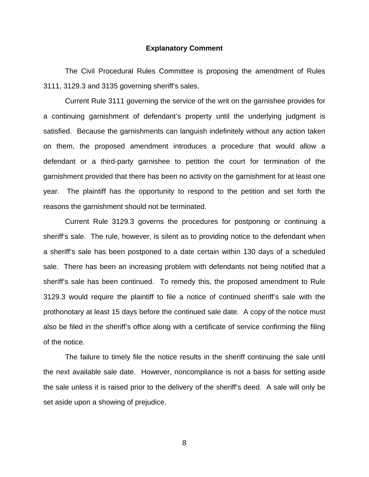#### **Explanatory Comment**

 The Civil Procedural Rules Committee is proposing the amendment of Rules 3111, 3129.3 and 3135 governing sheriff's sales.

 Current Rule 3111 governing the service of the writ on the garnishee provides for a continuing garnishment of defendant's property until the underlying judgment is satisfied. Because the garnishments can languish indefinitely without any action taken on them, the proposed amendment introduces a procedure that would allow a defendant or a third-party garnishee to petition the court for termination of the garnishment provided that there has been no activity on the garnishment for at least one year. The plaintiff has the opportunity to respond to the petition and set forth the reasons the garnishment should not be terminated.

 Current Rule 3129.3 governs the procedures for postponing or continuing a sheriff's sale. The rule, however, is silent as to providing notice to the defendant when a sheriff's sale has been postponed to a date certain within 130 days of a scheduled sale. There has been an increasing problem with defendants not being notified that a sheriff's sale has been continued. To remedy this, the proposed amendment to Rule 3129.3 would require the plaintiff to file a notice of continued sheriff's sale with the prothonotary at least 15 days before the continued sale date. A copy of the notice must also be filed in the sheriff's office along with a certificate of service confirming the filing of the notice.

 The failure to timely file the notice results in the sheriff continuing the sale until the next available sale date. However, noncompliance is not a basis for setting aside the sale unless it is raised prior to the delivery of the sheriff's deed. A sale will only be set aside upon a showing of prejudice.

8